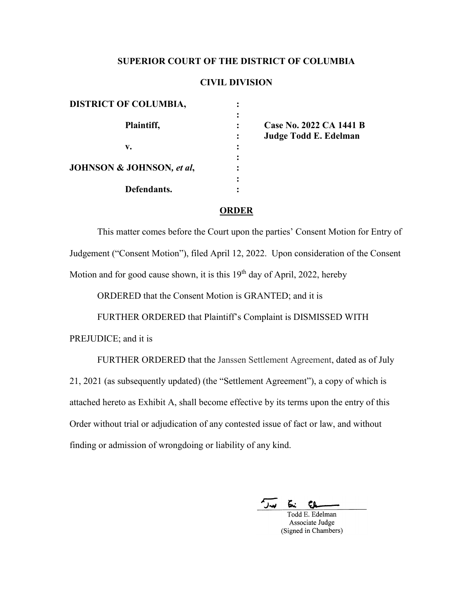# **SUPERIOR COURT OF THE DISTRICT OF COLUMBIA**

# **CIVIL DIVISION**

| <b>DISTRICT OF COLUMBIA,</b>         |   |                         |
|--------------------------------------|---|-------------------------|
| Plaintiff,                           | : | Case No. 2022 CA 1441 B |
| v.                                   | : | Judge Todd E. Edelman   |
| <b>JOHNSON &amp; JOHNSON, et al,</b> | : |                         |
| Defendants.                          | ٠ |                         |

### **ORDER**

This matter comes before the Court upon the parties' Consent Motion for Entry of Judgement ("Consent Motion"), filed April 12, 2022. Upon consideration of the Consent Motion and for good cause shown, it is this  $19<sup>th</sup>$  day of April, 2022, hereby

ORDERED that the Consent Motion is GRANTED; and it is

FURTHER ORDERED that Plaintiff's Complaint is DISMISSED WITH

PREJUDICE; and it is

FURTHER ORDERED that the Janssen Settlement Agreement, dated as of July 21, 2021 (as subsequently updated) (the "Settlement Agreement"), a copy of which is attached hereto as Exhibit A, shall become effective by its terms upon the entry of this Order without trial or adjudication of any contested issue of fact or law, and without finding or admission of wrongdoing or liability of any kind.

 $\sqrt{2}$ £. CL.

Todd E. Edelman Associate Judge (Signed in Chambers)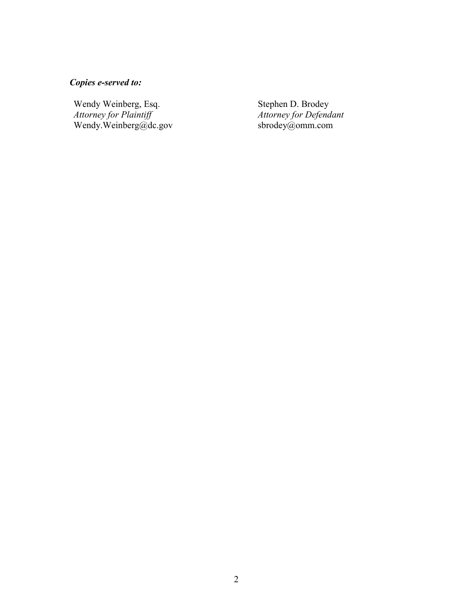# *Copies e-served to:*

Wendy Weinberg, Esq. *Attorney for Plaintiff* [Wendy.Weinberg@dc.gov](mailto:Wendy.Weinberg@dc.gov) Stephen D. Brodey *Attorney for Defendant* [sbrodey@omm.com](mailto:sbrodey@omm.com)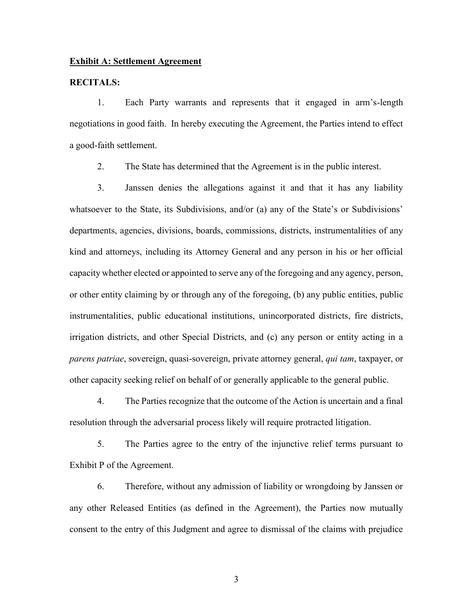## **Exhibit A: Settlement Agreement**

#### **RECITALS:**

1. Each Party warrants and represents that it engaged in arm's-length negotiations in good faith. In hereby executing the Agreement, the Parties intend to effect a good-faith settlement.

2. The State has determined that the Agreement is in the public interest.

3. Janssen denies the allegations against it and that it has any liability whatsoever to the State, its Subdivisions, and/or (a) any of the State's or Subdivisions' departments, agencies, divisions, boards, commissions, districts, instrumentalities of any kind and attorneys, including its Attorney General and any person in his or her official capacity whether elected or appointed to serve any of the foregoing and any agency, person, or other entity claiming by or through any of the foregoing, (b) any public entities, public instrumentalities, public educational institutions, unincorporated districts, fire districts, irrigation districts, and other Special Districts, and (c) any person or entity acting in a *parens patriae*, sovereign, quasi-sovereign, private attorney general, *qui tam*, taxpayer, or other capacity seeking relief on behalf of or generally applicable to the general public.

4. The Parties recognize that the outcome of the Action is uncertain and a final resolution through the adversarial process likely will require protracted litigation.

5. The Parties agree to the entry of the injunctive relief terms pursuant to Exhibit P of the Agreement.

6. Therefore, without any admission of liability or wrongdoing by Janssen or any other Released Entities (as defined in the Agreement), the Parties now mutually consent to the entry of this Judgment and agree to dismissal of the claims with prejudice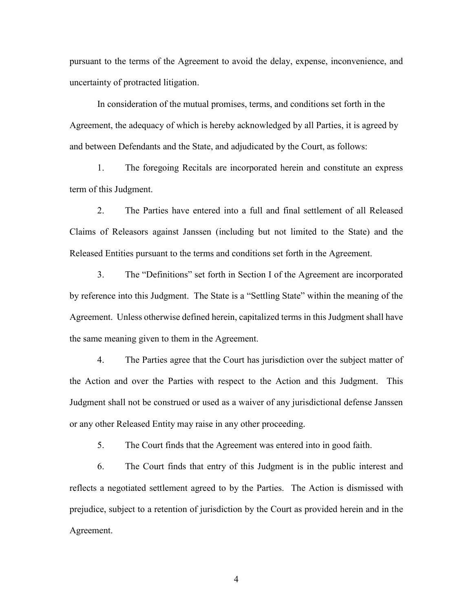pursuant to the terms of the Agreement to avoid the delay, expense, inconvenience, and uncertainty of protracted litigation.

In consideration of the mutual promises, terms, and conditions set forth in the Agreement, the adequacy of which is hereby acknowledged by all Parties, it is agreed by and between Defendants and the State, and adjudicated by the Court, as follows:

1. The foregoing Recitals are incorporated herein and constitute an express term of this Judgment.

2. The Parties have entered into a full and final settlement of all Released Claims of Releasors against Janssen (including but not limited to the State) and the Released Entities pursuant to the terms and conditions set forth in the Agreement.

3. The "Definitions" set forth in Section I of the Agreement are incorporated by reference into this Judgment. The State is a "Settling State" within the meaning of the Agreement. Unless otherwise defined herein, capitalized terms in this Judgment shall have the same meaning given to them in the Agreement.

4. The Parties agree that the Court has jurisdiction over the subject matter of the Action and over the Parties with respect to the Action and this Judgment. This Judgment shall not be construed or used as a waiver of any jurisdictional defense Janssen or any other Released Entity may raise in any other proceeding.

5. The Court finds that the Agreement was entered into in good faith.

6. The Court finds that entry of this Judgment is in the public interest and reflects a negotiated settlement agreed to by the Parties. The Action is dismissed with prejudice, subject to a retention of jurisdiction by the Court as provided herein and in the Agreement.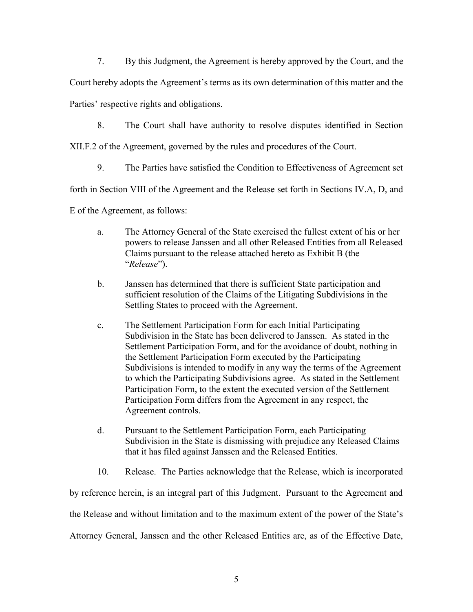7. By this Judgment, the Agreement is hereby approved by the Court, and the

Court hereby adopts the Agreement's terms as its own determination of this matter and the

Parties' respective rights and obligations.

8. The Court shall have authority to resolve disputes identified in Section

XII.F.2 of the Agreement, governed by the rules and procedures of the Court.

9. The Parties have satisfied the Condition to Effectiveness of Agreement set

forth in Section VIII of the Agreement and the Release set forth in Sections IV.A, D, and

E of the Agreement, as follows:

- a. The Attorney General of the State exercised the fullest extent of his or her powers to release Janssen and all other Released Entities from all Released Claims pursuant to the release attached hereto as Exhibit B (the "*Release*").
- b. Janssen has determined that there is sufficient State participation and sufficient resolution of the Claims of the Litigating Subdivisions in the Settling States to proceed with the Agreement.
- c. The Settlement Participation Form for each Initial Participating Subdivision in the State has been delivered to Janssen. As stated in the Settlement Participation Form, and for the avoidance of doubt, nothing in the Settlement Participation Form executed by the Participating Subdivisions is intended to modify in any way the terms of the Agreement to which the Participating Subdivisions agree. As stated in the Settlement Participation Form, to the extent the executed version of the Settlement Participation Form differs from the Agreement in any respect, the Agreement controls.
- d. Pursuant to the Settlement Participation Form, each Participating Subdivision in the State is dismissing with prejudice any Released Claims that it has filed against Janssen and the Released Entities.
- 10. Release. The Parties acknowledge that the Release, which is incorporated

by reference herein, is an integral part of this Judgment. Pursuant to the Agreement and the Release and without limitation and to the maximum extent of the power of the State's Attorney General, Janssen and the other Released Entities are, as of the Effective Date,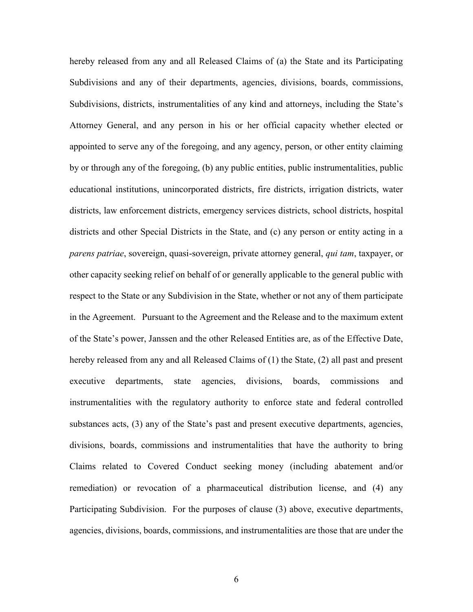hereby released from any and all Released Claims of (a) the State and its Participating Subdivisions and any of their departments, agencies, divisions, boards, commissions, Subdivisions, districts, instrumentalities of any kind and attorneys, including the State's Attorney General, and any person in his or her official capacity whether elected or appointed to serve any of the foregoing, and any agency, person, or other entity claiming by or through any of the foregoing, (b) any public entities, public instrumentalities, public educational institutions, unincorporated districts, fire districts, irrigation districts, water districts, law enforcement districts, emergency services districts, school districts, hospital districts and other Special Districts in the State, and (c) any person or entity acting in a *parens patriae*, sovereign, quasi-sovereign, private attorney general, *qui tam*, taxpayer, or other capacity seeking relief on behalf of or generally applicable to the general public with respect to the State or any Subdivision in the State, whether or not any of them participate in the Agreement. Pursuant to the Agreement and the Release and to the maximum extent of the State's power, Janssen and the other Released Entities are, as of the Effective Date, hereby released from any and all Released Claims of (1) the State, (2) all past and present executive departments, state agencies, divisions, boards, commissions and instrumentalities with the regulatory authority to enforce state and federal controlled substances acts, (3) any of the State's past and present executive departments, agencies, divisions, boards, commissions and instrumentalities that have the authority to bring Claims related to Covered Conduct seeking money (including abatement and/or remediation) or revocation of a pharmaceutical distribution license, and (4) any Participating Subdivision. For the purposes of clause (3) above, executive departments, agencies, divisions, boards, commissions, and instrumentalities are those that are under the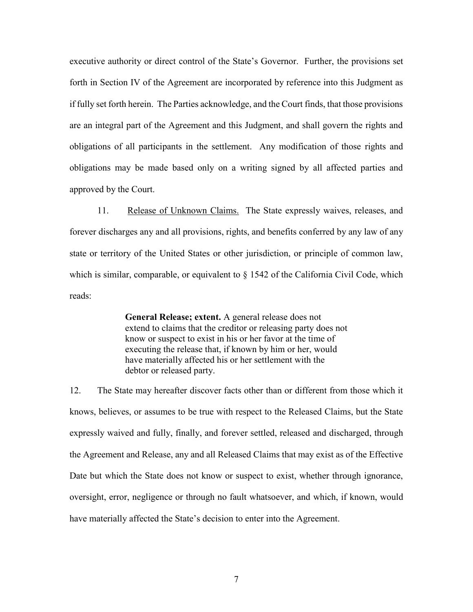executive authority or direct control of the State's Governor. Further, the provisions set forth in Section IV of the Agreement are incorporated by reference into this Judgment as if fully set forth herein. The Parties acknowledge, and the Court finds, that those provisions are an integral part of the Agreement and this Judgment, and shall govern the rights and obligations of all participants in the settlement. Any modification of those rights and obligations may be made based only on a writing signed by all affected parties and approved by the Court.

11. Release of Unknown Claims. The State expressly waives, releases, and forever discharges any and all provisions, rights, and benefits conferred by any law of any state or territory of the United States or other jurisdiction, or principle of common law, which is similar, comparable, or equivalent to  $\S$  1542 of the California Civil Code, which reads:

> **General Release; extent.** A general release does not extend to claims that the creditor or releasing party does not know or suspect to exist in his or her favor at the time of executing the release that, if known by him or her, would have materially affected his or her settlement with the debtor or released party.

12. The State may hereafter discover facts other than or different from those which it knows, believes, or assumes to be true with respect to the Released Claims, but the State expressly waived and fully, finally, and forever settled, released and discharged, through the Agreement and Release, any and all Released Claims that may exist as of the Effective Date but which the State does not know or suspect to exist, whether through ignorance, oversight, error, negligence or through no fault whatsoever, and which, if known, would have materially affected the State's decision to enter into the Agreement.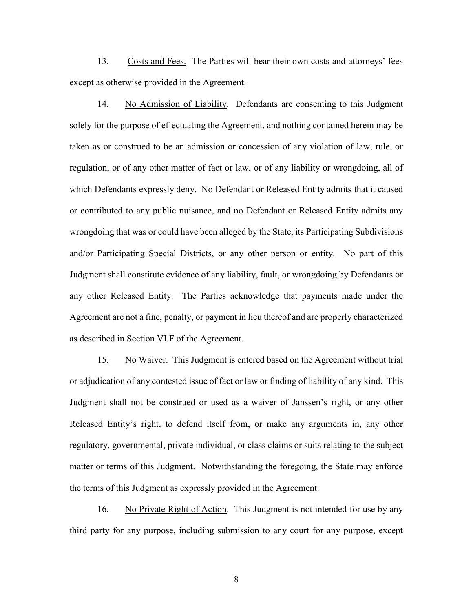13. Costs and Fees. The Parties will bear their own costs and attorneys' fees except as otherwise provided in the Agreement.

14. No Admission of Liability. Defendants are consenting to this Judgment solely for the purpose of effectuating the Agreement, and nothing contained herein may be taken as or construed to be an admission or concession of any violation of law, rule, or regulation, or of any other matter of fact or law, or of any liability or wrongdoing, all of which Defendants expressly deny. No Defendant or Released Entity admits that it caused or contributed to any public nuisance, and no Defendant or Released Entity admits any wrongdoing that was or could have been alleged by the State, its Participating Subdivisions and/or Participating Special Districts, or any other person or entity. No part of this Judgment shall constitute evidence of any liability, fault, or wrongdoing by Defendants or any other Released Entity. The Parties acknowledge that payments made under the Agreement are not a fine, penalty, or payment in lieu thereof and are properly characterized as described in Section VI.F of the Agreement.

15. No Waiver. This Judgment is entered based on the Agreement without trial or adjudication of any contested issue of fact or law or finding of liability of any kind. This Judgment shall not be construed or used as a waiver of Janssen's right, or any other Released Entity's right, to defend itself from, or make any arguments in, any other regulatory, governmental, private individual, or class claims or suits relating to the subject matter or terms of this Judgment. Notwithstanding the foregoing, the State may enforce the terms of this Judgment as expressly provided in the Agreement.

16. No Private Right of Action. This Judgment is not intended for use by any third party for any purpose, including submission to any court for any purpose, except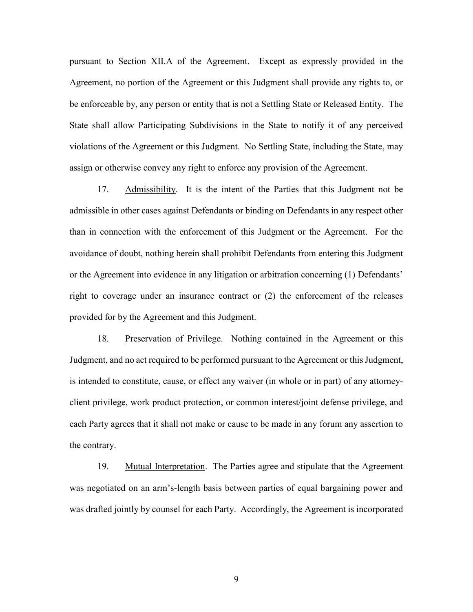pursuant to Section XII.A of the Agreement. Except as expressly provided in the Agreement, no portion of the Agreement or this Judgment shall provide any rights to, or be enforceable by, any person or entity that is not a Settling State or Released Entity. The State shall allow Participating Subdivisions in the State to notify it of any perceived violations of the Agreement or this Judgment. No Settling State, including the State, may assign or otherwise convey any right to enforce any provision of the Agreement.

17. Admissibility. It is the intent of the Parties that this Judgment not be admissible in other cases against Defendants or binding on Defendants in any respect other than in connection with the enforcement of this Judgment or the Agreement. For the avoidance of doubt, nothing herein shall prohibit Defendants from entering this Judgment or the Agreement into evidence in any litigation or arbitration concerning (1) Defendants' right to coverage under an insurance contract or (2) the enforcement of the releases provided for by the Agreement and this Judgment.

18. Preservation of Privilege. Nothing contained in the Agreement or this Judgment, and no act required to be performed pursuant to the Agreement or this Judgment, is intended to constitute, cause, or effect any waiver (in whole or in part) of any attorneyclient privilege, work product protection, or common interest/joint defense privilege, and each Party agrees that it shall not make or cause to be made in any forum any assertion to the contrary.

19. Mutual Interpretation. The Parties agree and stipulate that the Agreement was negotiated on an arm's-length basis between parties of equal bargaining power and was drafted jointly by counsel for each Party. Accordingly, the Agreement is incorporated